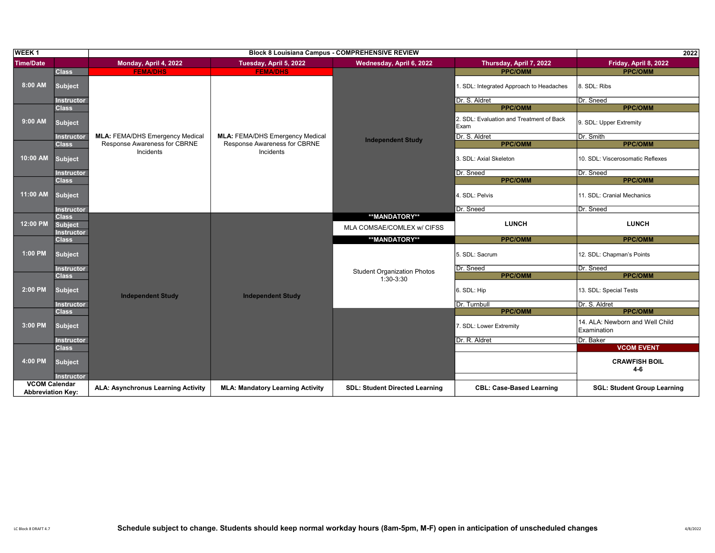| <b>WEEK1</b>             |                                                     |                                        |                                         | <b>Block 8 Louisiana Campus - COMPREHENSIVE REVIEW</b> |                                                  | 2022                                           |
|--------------------------|-----------------------------------------------------|----------------------------------------|-----------------------------------------|--------------------------------------------------------|--------------------------------------------------|------------------------------------------------|
| <b>Time/Date</b>         |                                                     | Monday, April 4, 2022                  | Tuesday, April 5, 2022                  | Wednesday, April 6, 2022                               | Thursday, April 7, 2022                          | Friday, April 8, 2022                          |
|                          | <b>Class</b>                                        | <b>FEMA/DHS</b>                        | <b>FEMA/DHS</b>                         |                                                        | <b>PPC/OMM</b>                                   | <b>PPC/OMM</b>                                 |
| 8:00 AM                  | <b>Subject</b>                                      |                                        |                                         |                                                        | . SDL: Integrated Approach to Headaches          | 8. SDL: Ribs                                   |
|                          | <b>Instructor</b>                                   |                                        |                                         |                                                        | Dr. S. Aldret                                    | Dr. Sneed                                      |
|                          | <b>Class</b>                                        |                                        |                                         |                                                        | <b>PPC/OMM</b>                                   | <b>PPC/OMM</b>                                 |
| 9:00 AM                  | <b>Subject</b>                                      |                                        |                                         |                                                        | 2. SDL: Evaluation and Treatment of Back<br>Exam | 9. SDL: Upper Extremity                        |
|                          | <b>Instructor</b>                                   | <b>MLA: FEMA/DHS Emergency Medical</b> | <b>MLA: FEMA/DHS Emergency Medical</b>  | <b>Independent Study</b>                               | Dr. S. Aldret                                    | Dr. Smith                                      |
|                          | <b>Class</b>                                        | Response Awareness for CBRNE           | Response Awareness for CBRNE            |                                                        | <b>PPC/OMM</b>                                   | <b>PPC/OMM</b>                                 |
| 10:00 AM                 | <b>Subject</b>                                      | Incidents                              | Incidents                               |                                                        | 3. SDL: Axial Skeleton                           | 10. SDL: Viscerosomatic Reflexes               |
|                          | <b>Instructor</b>                                   |                                        |                                         |                                                        | Dr. Sneed                                        | Dr. Sneed                                      |
|                          | <b>Class</b>                                        |                                        |                                         |                                                        | <b>PPC/OMM</b>                                   | <b>PPC/OMM</b>                                 |
| 11:00 AM                 | <b>Subject</b>                                      |                                        |                                         |                                                        | 4. SDL: Pelvis                                   | 11. SDL: Cranial Mechanics                     |
|                          | <b>Instructor</b>                                   |                                        |                                         |                                                        | Dr. Sneed                                        | Dr. Sneed                                      |
| 12:00 PM                 | <b>Class</b><br><b>Subject</b><br><b>Instructor</b> |                                        |                                         | **MANDATORY**<br>MLA COMSAE/COMLEX w/ CIFSS            | <b>LUNCH</b>                                     | <b>LUNCH</b>                                   |
|                          | <b>Class</b>                                        |                                        |                                         | **MANDATORY**                                          | <b>PPC/OMM</b>                                   | <b>PPC/OMM</b>                                 |
| 1:00 PM                  | <b>Subject</b>                                      |                                        |                                         | <b>Student Organization Photos</b><br>$1:30-3:30$      | 5. SDL: Sacrum                                   | 12. SDL: Chapman's Points                      |
|                          | <b>Instructor</b>                                   |                                        |                                         |                                                        | Dr. Sneed                                        | Dr. Sneed                                      |
|                          | <b>Class</b>                                        |                                        |                                         |                                                        | <b>PPC/OMM</b>                                   | <b>PPC/OMM</b>                                 |
| 2:00 PM                  | <b>Subject</b>                                      | <b>Independent Study</b>               | <b>Independent Study</b>                |                                                        | 6. SDL: Hip                                      | 13. SDL: Special Tests                         |
|                          | <b>Instructor</b>                                   |                                        |                                         |                                                        | Dr. Turnbull                                     | Dr. S. Aldret                                  |
|                          | <b>Class</b>                                        |                                        |                                         |                                                        | <b>PPC/OMM</b>                                   | <b>PPC/OMM</b>                                 |
| 3:00 PM                  | <b>Subject</b>                                      |                                        |                                         |                                                        | 7. SDL: Lower Extremity                          | 14. ALA: Newborn and Well Child<br>Examination |
|                          | <b>Instructor</b>                                   |                                        |                                         |                                                        | Dr. R. Aldret                                    | Dr. Baker                                      |
|                          | <b>Class</b>                                        |                                        |                                         |                                                        |                                                  | <b>VCOM EVENT</b>                              |
| 4:00 PM                  | <b>Subject</b><br><b>Instructor</b>                 |                                        |                                         |                                                        |                                                  | <b>CRAWFISH BOIL</b><br>$4-6$                  |
| <b>VCOM Calendar</b>     |                                                     |                                        |                                         |                                                        |                                                  |                                                |
| <b>Abbreviation Kev:</b> |                                                     | ALA: Asynchronus Learning Activity     | <b>MLA: Mandatory Learning Activity</b> | <b>SDL: Student Directed Learning</b>                  | <b>CBL: Case-Based Learning</b>                  | <b>SGL: Student Group Learning</b>             |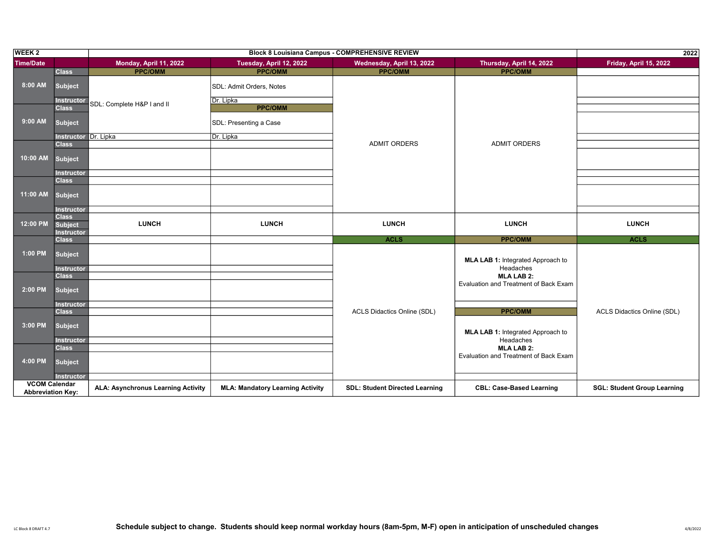| <b>WEEK 2</b>            |                                     |                                           |                                         | <b>Block 8 Louisiana Campus - COMPREHENSIVE REVIEW</b> |                                                | 2022                               |
|--------------------------|-------------------------------------|-------------------------------------------|-----------------------------------------|--------------------------------------------------------|------------------------------------------------|------------------------------------|
| <b>Time/Date</b>         |                                     | Monday, April 11, 2022                    | Tuesday, April 12, 2022                 | Wednesday, April 13, 2022                              | Thursday, April 14, 2022                       | Friday, April 15, 2022             |
|                          | <b>Class</b>                        | <b>PPC/OMM</b>                            | <b>PPC/OMM</b>                          | <b>PPC/OMM</b>                                         | <b>PPC/OMM</b>                                 |                                    |
| 8:00 AM                  | Subject                             |                                           | SDL: Admit Orders, Notes                |                                                        |                                                |                                    |
|                          | <b>Instructor</b><br><b>Class</b>   | SDL: Complete H&P I and II                | Dr. Lipka<br><b>PPC/OMM</b>             |                                                        |                                                |                                    |
| 9:00 AM                  | <b>Subject</b>                      |                                           | SDL: Presenting a Case                  |                                                        |                                                |                                    |
|                          | <b>Instructor Dr. Lipka</b>         |                                           | Dr. Lipka                               |                                                        |                                                |                                    |
| 10:00 AM                 | <b>Class</b><br><b>Subject</b>      |                                           |                                         | <b>ADMIT ORDERS</b>                                    | <b>ADMIT ORDERS</b>                            |                                    |
|                          | <b>Instructor</b><br><b>Class</b>   |                                           |                                         |                                                        |                                                |                                    |
| 11:00 AM                 | Subject<br><b>Instructor</b>        |                                           |                                         |                                                        |                                                |                                    |
|                          | <b>Class</b>                        |                                           |                                         |                                                        |                                                |                                    |
| 12:00 PM                 | <b>Subject</b><br><b>Instructor</b> | <b>LUNCH</b>                              | <b>LUNCH</b>                            | <b>LUNCH</b>                                           | <b>LUNCH</b>                                   | <b>LUNCH</b>                       |
|                          | <b>Class</b>                        |                                           |                                         | <b>ACLS</b>                                            | <b>PPC/OMM</b>                                 | <b>ACLS</b>                        |
| 1:00 PM                  | <b>Subject</b>                      |                                           |                                         |                                                        | MLA LAB 1: Integrated Approach to<br>Headaches |                                    |
|                          | <b>Instructor</b><br><b>Class</b>   |                                           |                                         |                                                        | <b>MLA LAB 2:</b>                              |                                    |
| 2:00 PM                  | <b>Subject</b>                      |                                           |                                         |                                                        | Evaluation and Treatment of Back Exam          |                                    |
|                          | <b>Instructor</b><br><b>Class</b>   |                                           |                                         | ACLS Didactics Online (SDL)                            | <b>PPC/OMM</b>                                 | ACLS Didactics Online (SDL)        |
| 3:00 PM                  | <b>Subject</b><br><b>Instructor</b> |                                           |                                         |                                                        | MLA LAB 1: Integrated Approach to<br>Headaches |                                    |
|                          | <b>Class</b>                        |                                           |                                         |                                                        | <b>MLA LAB 2:</b>                              |                                    |
| 4:00 PM                  | <b>Subject</b><br><b>Instructor</b> |                                           |                                         |                                                        | Evaluation and Treatment of Back Exam          |                                    |
| <b>VCOM Calendar</b>     |                                     |                                           |                                         |                                                        |                                                |                                    |
| <b>Abbreviation Key:</b> |                                     | <b>ALA: Asynchronus Learning Activity</b> | <b>MLA: Mandatory Learning Activity</b> | <b>SDL: Student Directed Learning</b>                  | <b>CBL: Case-Based Learning</b>                | <b>SGL: Student Group Learning</b> |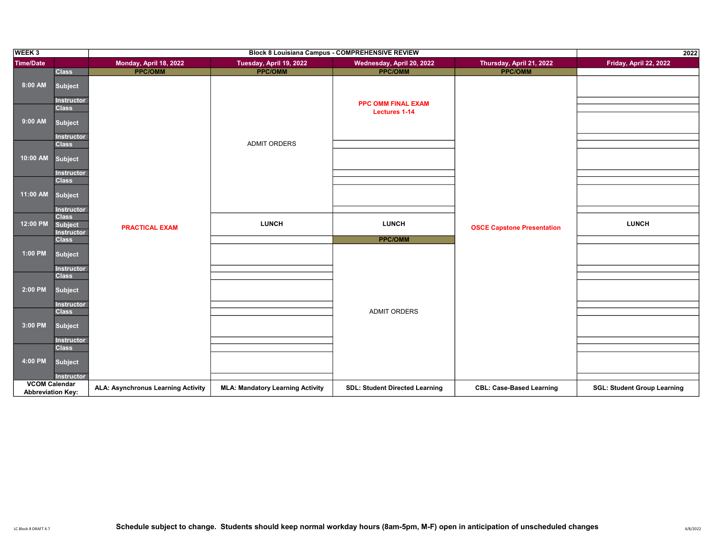| WEEK <sub>3</sub>                                | <b>Block 8 Louisiana Campus - COMPREHENSIVE REVIEW</b>              |                                    |                                         |                                       |                                   | 2022                               |
|--------------------------------------------------|---------------------------------------------------------------------|------------------------------------|-----------------------------------------|---------------------------------------|-----------------------------------|------------------------------------|
| <b>Time/Date</b>                                 |                                                                     | Monday, April 18, 2022             | Tuesday, April 19, 2022                 | Wednesday, April 20, 2022             | Thursday, April 21, 2022          | Friday, April 22, 2022             |
|                                                  | <b>Class</b>                                                        | <b>PPC/OMM</b>                     | <b>PPC/OMM</b>                          | <b>PPC/OMM</b>                        | <b>PPC/OMM</b>                    |                                    |
| 8:00 AM                                          | Subject<br><b>Instructor</b>                                        |                                    |                                         | <b>PPC OMM FINAL EXAM</b>             |                                   |                                    |
| 9:00 AM                                          | <b>Class</b><br>Subject<br><b>Instructor</b>                        |                                    |                                         | <b>Lectures 1-14</b>                  |                                   |                                    |
| 10:00 AM                                         | <b>Class</b><br>Subject<br><b>Instructor</b>                        |                                    | <b>ADMIT ORDERS</b>                     |                                       |                                   |                                    |
| 11:00 AM                                         | <b>Class</b><br>Subject<br><b>Instructor</b>                        |                                    |                                         |                                       |                                   |                                    |
| 12:00 PM                                         | <b>Class</b><br><b>Subject</b><br><b>Instructor</b><br><b>Class</b> | <b>PRACTICAL EXAM</b>              | <b>LUNCH</b>                            | <b>LUNCH</b><br><b>PPC/OMM</b>        | <b>OSCE Capstone Presentation</b> | <b>LUNCH</b>                       |
| 1:00 PM                                          | <b>Subject</b><br><b>Instructor</b>                                 |                                    |                                         |                                       |                                   |                                    |
| 2:00 PM                                          | <b>Class</b><br>Subject<br><b>Instructor</b>                        |                                    |                                         |                                       |                                   |                                    |
| 3:00 PM                                          | <b>Class</b><br><b>Subject</b><br><b>Instructor</b>                 |                                    |                                         | <b>ADMIT ORDERS</b>                   |                                   |                                    |
| 4:00 PM                                          | <b>Class</b><br><b>Subject</b><br><b>Instructor</b>                 |                                    |                                         |                                       |                                   |                                    |
| <b>VCOM Calendar</b><br><b>Abbreviation Key:</b> |                                                                     | ALA: Asynchronus Learning Activity | <b>MLA: Mandatory Learning Activity</b> | <b>SDL: Student Directed Learning</b> | <b>CBL: Case-Based Learning</b>   | <b>SGL: Student Group Learning</b> |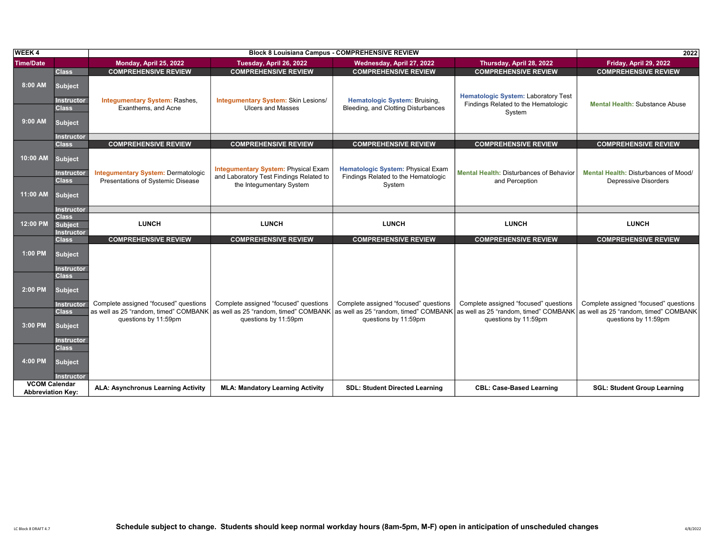| <b>WEEK4</b>                                     |                                                                       |                                                                                |                                                                                                                                                                                 | <b>Block 8 Louisiana Campus - COMPREHENSIVE REVIEW</b>                             |                                                                                             | 2022                                                                |
|--------------------------------------------------|-----------------------------------------------------------------------|--------------------------------------------------------------------------------|---------------------------------------------------------------------------------------------------------------------------------------------------------------------------------|------------------------------------------------------------------------------------|---------------------------------------------------------------------------------------------|---------------------------------------------------------------------|
| <b>Time/Date</b>                                 |                                                                       | Monday, April 25, 2022                                                         | Tuesday, April 26, 2022                                                                                                                                                         | Wednesday, April 27, 2022                                                          | Thursday, April 28, 2022                                                                    | Friday, April 29, 2022                                              |
|                                                  | <b>Class</b>                                                          | <b>COMPREHENSIVE REVIEW</b>                                                    | <b>COMPREHENSIVE REVIEW</b>                                                                                                                                                     | <b>COMPREHENSIVE REVIEW</b>                                                        | <b>COMPREHENSIVE REVIEW</b>                                                                 | <b>COMPREHENSIVE REVIEW</b>                                         |
| 8:00 AM<br>$9:00$ AM                             | <b>Subject</b><br><b>Instructor</b><br><b>Class</b><br><b>Subject</b> | <b>Integumentary System: Rashes,</b><br>Exanthems, and Acne                    | Integumentary System: Skin Lesions/<br><b>Ulcers and Masses</b>                                                                                                                 | Hematologic System: Bruising,<br>Bleeding, and Clotting Disturbances               | <b>Hematologic System: Laboratory Test</b><br>Findings Related to the Hematologic<br>System | <b>Mental Health: Substance Abuse</b>                               |
|                                                  |                                                                       |                                                                                |                                                                                                                                                                                 |                                                                                    |                                                                                             |                                                                     |
|                                                  | <b>Instructor</b><br><b>Class</b>                                     | <b>COMPREHENSIVE REVIEW</b>                                                    | <b>COMPREHENSIVE REVIEW</b>                                                                                                                                                     | <b>COMPREHENSIVE REVIEW</b>                                                        | <b>COMPREHENSIVE REVIEW</b>                                                                 | <b>COMPREHENSIVE REVIEW</b>                                         |
|                                                  |                                                                       |                                                                                |                                                                                                                                                                                 |                                                                                    |                                                                                             |                                                                     |
| 10:00 AM<br>11:00 AM                             | <b>Subject</b><br>Instructor<br><b>Class</b><br><b>Subject</b>        | <b>Integumentary System: Dermatologic</b><br>Presentations of Systemic Disease | <b>Integumentary System: Physical Exam</b><br>and Laboratory Test Findings Related to<br>the Integumentary System                                                               | Hematologic System: Physical Exam<br>Findings Related to the Hematologic<br>System | <b>Mental Health: Disturbances of Behavior</b><br>and Perception                            | Mental Health: Disturbances of Mood/<br><b>Depressive Disorders</b> |
|                                                  | <b>Instructor</b>                                                     |                                                                                |                                                                                                                                                                                 |                                                                                    |                                                                                             |                                                                     |
| 12:00 PM                                         | <b>Class</b><br><b>Subject</b><br><b>Instructor</b>                   | <b>LUNCH</b>                                                                   | <b>LUNCH</b>                                                                                                                                                                    | <b>LUNCH</b>                                                                       | <b>LUNCH</b>                                                                                | <b>LUNCH</b>                                                        |
|                                                  | <b>Class</b>                                                          | <b>COMPREHENSIVE REVIEW</b>                                                    | <b>COMPREHENSIVE REVIEW</b>                                                                                                                                                     | <b>COMPREHENSIVE REVIEW</b>                                                        | <b>COMPREHENSIVE REVIEW</b>                                                                 | <b>COMPREHENSIVE REVIEW</b>                                         |
| 1:00 PM                                          | <b>Subject</b><br><b>Instructor</b>                                   |                                                                                |                                                                                                                                                                                 |                                                                                    |                                                                                             |                                                                     |
| 2:00 PM                                          | <b>Class</b><br><b>Subject</b><br><b>Instructor</b>                   | Complete assigned "focused" questions                                          | Complete assigned "focused" questions                                                                                                                                           | Complete assigned "focused" questions                                              | Complete assigned "focused" questions                                                       | Complete assigned "focused" questions                               |
| 3:00 PM                                          | <b>Class</b><br><b>Subject</b><br><b>Instructor</b>                   | questions by 11:59pm                                                           | as well as 25 "random, timed" COMBANK as well as 25 "random, timed" COMBANK as well as 25 "random, timed" COMBANK as well as 25 "random, timed" COMBANK<br>questions by 11:59pm | questions by 11:59pm                                                               | questions by 11:59pm                                                                        | as well as 25 "random, timed" COMBANK<br>questions by 11:59pm       |
| 4:00 PM                                          | <b>Class</b><br><b>Subject</b><br><b>Instructor</b>                   |                                                                                |                                                                                                                                                                                 |                                                                                    |                                                                                             |                                                                     |
| <b>VCOM Calendar</b><br><b>Abbreviation Kev:</b> |                                                                       | <b>ALA: Asynchronus Learning Activity</b>                                      | <b>MLA: Mandatory Learning Activity</b>                                                                                                                                         | <b>SDL: Student Directed Learning</b>                                              | <b>CBL: Case-Based Learning</b>                                                             | <b>SGL: Student Group Learning</b>                                  |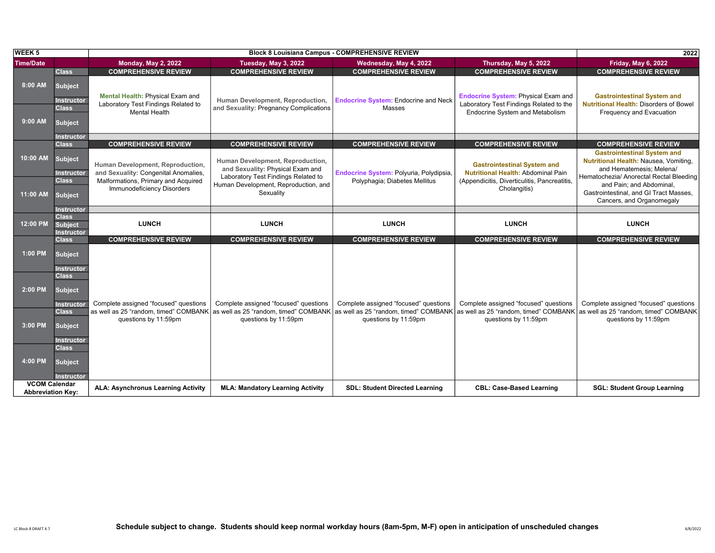| <b>WEEK 5</b>                                    |                                                                       |                                                                                                 | <b>Block 8 Louisiana Campus - COMPREHENSIVE REVIEW</b>                                                      | 2022                                                                                                |                                                                                                                          |                                                                                                                                                    |
|--------------------------------------------------|-----------------------------------------------------------------------|-------------------------------------------------------------------------------------------------|-------------------------------------------------------------------------------------------------------------|-----------------------------------------------------------------------------------------------------|--------------------------------------------------------------------------------------------------------------------------|----------------------------------------------------------------------------------------------------------------------------------------------------|
| <b>Time/Date</b>                                 |                                                                       | <b>Monday, May 2, 2022</b>                                                                      | Tuesday, May 3, 2022                                                                                        | Wednesday, May 4, 2022                                                                              | Thursday, May 5, 2022                                                                                                    | <b>Friday, May 6, 2022</b>                                                                                                                         |
|                                                  | <b>Class</b>                                                          | <b>COMPREHENSIVE REVIEW</b>                                                                     | <b>COMPREHENSIVE REVIEW</b>                                                                                 | <b>COMPREHENSIVE REVIEW</b>                                                                         | <b>COMPREHENSIVE REVIEW</b>                                                                                              | <b>COMPREHENSIVE REVIEW</b>                                                                                                                        |
| 8:00 AM<br>$9:00$ AM                             | <b>Subject</b><br><b>Instructor</b><br><b>Class</b><br><b>Subject</b> | Mental Health: Physical Exam and<br>Laboratory Test Findings Related to<br><b>Mental Health</b> | Human Development, Reproduction,<br>and Sexuality: Pregnancy Complications                                  | <b>Endocrine System: Endocrine and Neck</b><br>Masses                                               | <b>Endocrine System: Physical Exam and</b><br>Laboratory Test Findings Related to the<br>Endocrine System and Metabolism | <b>Gastrointestinal System and</b><br><b>Nutritional Health: Disorders of Bowel</b><br>Frequency and Evacuation                                    |
|                                                  |                                                                       |                                                                                                 |                                                                                                             |                                                                                                     |                                                                                                                          |                                                                                                                                                    |
|                                                  | <b>Instructor</b>                                                     |                                                                                                 |                                                                                                             |                                                                                                     |                                                                                                                          |                                                                                                                                                    |
|                                                  | <b>Class</b>                                                          | <b>COMPREHENSIVE REVIEW</b>                                                                     | <b>COMPREHENSIVE REVIEW</b>                                                                                 | <b>COMPREHENSIVE REVIEW</b>                                                                         | <b>COMPREHENSIVE REVIEW</b>                                                                                              | <b>COMPREHENSIVE REVIEW</b>                                                                                                                        |
| 10:00 AM                                         | <b>Subject</b><br>Instructor                                          | Human Development, Reproduction,<br>and Sexuality: Congenital Anomalies,                        | Human Development, Reproduction,<br>and Sexuality: Physical Exam and<br>Laboratory Test Findings Related to | Endocrine System: Polyuria, Polydipsia,                                                             | <b>Gastrointestinal System and</b><br><b>Nutritional Health: Abdominal Pain</b>                                          | <b>Gastrointestinal System and</b><br>Nutritional Health: Nausea, Vomiting,<br>and Hematemesis; Melena/<br>Hematochezia/ Anorectal Rectal Bleeding |
| 11:00 AM                                         | <b>Class</b><br><b>Subject</b>                                        | Malformations, Primary and Acquired<br><b>Immunodeficiency Disorders</b>                        | Human Development, Reproduction, and<br>Sexuality                                                           | Polyphagia; Diabetes Mellitus                                                                       | (Appendicitis, Diverticulitis, Pancreatitis,<br>Cholangitis)                                                             | and Pain; and Abdominal,<br>Gastrointestinal, and GI Tract Masses,<br>Cancers, and Organomegaly                                                    |
|                                                  | <b>Instructor</b>                                                     |                                                                                                 |                                                                                                             |                                                                                                     |                                                                                                                          |                                                                                                                                                    |
| 12:00 PM                                         | <b>Class</b><br>Subject<br><b>Instructor</b>                          | <b>LUNCH</b>                                                                                    | <b>LUNCH</b>                                                                                                | <b>LUNCH</b>                                                                                        | <b>LUNCH</b>                                                                                                             | <b>LUNCH</b>                                                                                                                                       |
|                                                  | <b>Class</b>                                                          | <b>COMPREHENSIVE REVIEW</b>                                                                     | <b>COMPREHENSIVE REVIEW</b>                                                                                 | <b>COMPREHENSIVE REVIEW</b>                                                                         | <b>COMPREHENSIVE REVIEW</b>                                                                                              | <b>COMPREHENSIVE REVIEW</b>                                                                                                                        |
| 1:00 PM                                          | <b>Subject</b><br>Instructor                                          |                                                                                                 |                                                                                                             |                                                                                                     |                                                                                                                          |                                                                                                                                                    |
| 2:00 PM                                          | <b>Class</b><br><b>Subject</b><br><b>Instructor</b>                   | Complete assigned "focused" questions                                                           | Complete assigned "focused" questions                                                                       | Complete assigned "focused" questions                                                               | Complete assigned "focused" questions                                                                                    | Complete assigned "focused" questions                                                                                                              |
| 3:00 PM                                          | <b>Class</b><br><b>Subject</b><br><b>Instructor</b>                   | as well as 25 "random, timed" COMBANK<br>questions by 11:59pm                                   | questions by 11:59pm                                                                                        | as well as 25 "random, timed" COMBANK as well as 25 "random, timed" COMBANK<br>questions by 11:59pm | $\mid$ as well as 25 "random, timed" COMBANK $\mid$ as well as 25 "random, timed" COMBANK<br>questions by 11:59pm        | questions by 11:59pm                                                                                                                               |
| 4:00 PM                                          | <b>Class</b><br><b>Subject</b><br><b>Instructor</b>                   |                                                                                                 |                                                                                                             |                                                                                                     |                                                                                                                          |                                                                                                                                                    |
| <b>VCOM Calendar</b><br><b>Abbreviation Kev:</b> |                                                                       | <b>ALA: Asynchronus Learning Activity</b>                                                       | <b>MLA: Mandatory Learning Activity</b>                                                                     | <b>SDL: Student Directed Learning</b>                                                               | <b>CBL: Case-Based Learning</b>                                                                                          | <b>SGL: Student Group Learning</b>                                                                                                                 |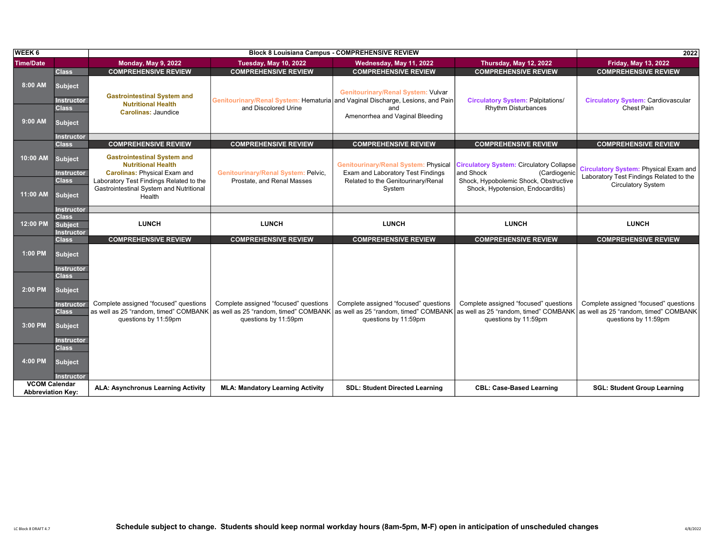| <b>WEEK 6</b>                                    |                                                                       |                                                                                                        |                                                                                                        | <b>Block 8 Louisiana Campus - COMPREHENSIVE REVIEW</b>                              |                                                                                                                                           | 2022                                                                                    |
|--------------------------------------------------|-----------------------------------------------------------------------|--------------------------------------------------------------------------------------------------------|--------------------------------------------------------------------------------------------------------|-------------------------------------------------------------------------------------|-------------------------------------------------------------------------------------------------------------------------------------------|-----------------------------------------------------------------------------------------|
| <b>Time/Date</b>                                 |                                                                       | <b>Monday, May 9, 2022</b>                                                                             | <b>Tuesday, May 10, 2022</b>                                                                           | Wednesday, May 11, 2022                                                             | Thursday, May 12, 2022                                                                                                                    | <b>Friday, May 13, 2022</b>                                                             |
|                                                  | <b>Class</b>                                                          | <b>COMPREHENSIVE REVIEW</b>                                                                            | <b>COMPREHENSIVE REVIEW</b>                                                                            | <b>COMPREHENSIVE REVIEW</b>                                                         | <b>COMPREHENSIVE REVIEW</b>                                                                                                               | <b>COMPREHENSIVE REVIEW</b>                                                             |
| 8:00 AM<br>$9:00$ AM                             | <b>Subject</b><br><b>Instructor</b><br><b>Class</b><br><b>Subject</b> | <b>Gastrointestinal System and</b><br><b>Nutritional Health</b><br><b>Carolinas: Jaundice</b>          | Genitourinary/Renal System: Hematuria and Vaginal Discharge, Lesions, and Pain<br>and Discolored Urine | <b>Genitourinary/Renal System: Vulvar</b><br>and<br>Amenorrhea and Vaginal Bleeding | <b>Circulatory System: Palpitations/</b><br><b>Rhythm Disturbances</b>                                                                    | <b>Circulatory System: Cardiovascular</b><br>Chest Pain                                 |
|                                                  | <b>Instructor</b>                                                     |                                                                                                        |                                                                                                        |                                                                                     |                                                                                                                                           |                                                                                         |
|                                                  | <b>Class</b>                                                          | <b>COMPREHENSIVE REVIEW</b>                                                                            | <b>COMPREHENSIVE REVIEW</b>                                                                            | <b>COMPREHENSIVE REVIEW</b>                                                         | <b>COMPREHENSIVE REVIEW</b>                                                                                                               | <b>COMPREHENSIVE REVIEW</b>                                                             |
| 10:00 AM                                         | <b>Subject</b><br>Instructor                                          | <b>Gastrointestinal System and</b><br><b>Nutritional Health</b><br><b>Carolinas: Physical Exam and</b> | Genitourinary/Renal System: Pelvic,                                                                    | <b>Genitourinary/Renal System: Physical</b><br>Exam and Laboratory Test Findings    | <b>Circulatory System: Circulatory Collapse</b><br>and Shock<br>(Cardiogenic                                                              | <b>Circulatory System: Physical Exam and</b><br>Laboratory Test Findings Related to the |
| 11:00 AM                                         | <b>Class</b><br><b>Subject</b>                                        | Laboratory Test Findings Related to the<br>Gastrointestinal System and Nutritional<br>Health           | Prostate, and Renal Masses                                                                             | Related to the Genitourinary/Renal<br>System                                        | Shock, Hypobolemic Shock, Obstructive<br>Shock, Hypotension, Endocarditis)                                                                | <b>Circulatory System</b>                                                               |
|                                                  | <b>Instructor</b>                                                     |                                                                                                        |                                                                                                        |                                                                                     |                                                                                                                                           |                                                                                         |
| 12:00 PM                                         | <b>Class</b><br><b>Subject</b><br><b>Instructor</b>                   | <b>LUNCH</b>                                                                                           | <b>LUNCH</b>                                                                                           | <b>LUNCH</b>                                                                        | <b>LUNCH</b>                                                                                                                              | <b>LUNCH</b>                                                                            |
|                                                  | <b>Class</b>                                                          | <b>COMPREHENSIVE REVIEW</b>                                                                            | <b>COMPREHENSIVE REVIEW</b>                                                                            | <b>COMPREHENSIVE REVIEW</b>                                                         | <b>COMPREHENSIVE REVIEW</b>                                                                                                               | <b>COMPREHENSIVE REVIEW</b>                                                             |
| 1:00 PM                                          | <b>Subject</b><br>Instructor                                          |                                                                                                        |                                                                                                        |                                                                                     |                                                                                                                                           |                                                                                         |
| 2:00 PM                                          | <b>Class</b><br><b>Subject</b><br><b>Instructor</b>                   | Complete assigned "focused" questions                                                                  | Complete assigned "focused" questions                                                                  | Complete assigned "focused" questions                                               | Complete assigned "focused" questions                                                                                                     | Complete assigned "focused" questions                                                   |
| 3:00 PM                                          | <b>Class</b><br><b>Subject</b><br><b>Instructor</b>                   | as well as 25 "random, timed" COMBANK<br>questions by 11:59pm                                          | questions by 11:59pm                                                                                   | questions by 11:59pm                                                                | as well as 25 "random, timed" COMBANK as well as 25 "random, timed" COMBANK as well as 25 "random, timed" COMBANK<br>questions by 11:59pm | as well as 25 "random, timed" COMBANK<br>questions by 11:59pm                           |
| 4:00 PM                                          | <b>Class</b><br><b>Subject</b><br><b>Instructor</b>                   |                                                                                                        |                                                                                                        |                                                                                     |                                                                                                                                           |                                                                                         |
| <b>VCOM Calendar</b><br><b>Abbreviation Kev:</b> |                                                                       | ALA: Asynchronus Learning Activity                                                                     | <b>MLA: Mandatory Learning Activity</b>                                                                | <b>SDL: Student Directed Learning</b>                                               | <b>CBL: Case-Based Learning</b>                                                                                                           | <b>SGL: Student Group Learning</b>                                                      |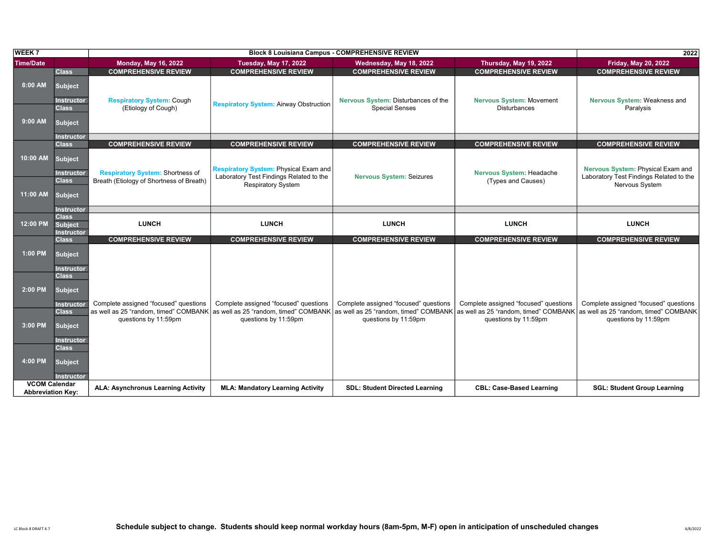| <b>WEEK7</b>                                     |                                                                       |                                                                                     |                                                                                                                                                                                 | <b>Block 8 Louisiana Campus - COMPREHENSIVE REVIEW</b> |                                                | 2022                                                                                           |
|--------------------------------------------------|-----------------------------------------------------------------------|-------------------------------------------------------------------------------------|---------------------------------------------------------------------------------------------------------------------------------------------------------------------------------|--------------------------------------------------------|------------------------------------------------|------------------------------------------------------------------------------------------------|
| <b>Time/Date</b>                                 |                                                                       | <b>Monday, May 16, 2022</b>                                                         | <b>Tuesday, May 17, 2022</b>                                                                                                                                                    | Wednesday, May 18, 2022                                | Thursday, May 19, 2022                         | <b>Friday, May 20, 2022</b>                                                                    |
|                                                  | <b>Class</b>                                                          | <b>COMPREHENSIVE REVIEW</b>                                                         | <b>COMPREHENSIVE REVIEW</b>                                                                                                                                                     | <b>COMPREHENSIVE REVIEW</b>                            | <b>COMPREHENSIVE REVIEW</b>                    | <b>COMPREHENSIVE REVIEW</b>                                                                    |
| 8:00 AM                                          | <b>Subject</b><br><b>Instructor</b>                                   | <b>Respiratory System: Cough</b>                                                    | <b>Respiratory System: Airway Obstruction</b>                                                                                                                                   | Nervous System: Disturbances of the                    | <b>Nervous System: Movement</b>                | Nervous System: Weakness and                                                                   |
| 9:00 AM                                          | <b>Class</b><br><b>Subject</b>                                        | (Etiology of Cough)                                                                 |                                                                                                                                                                                 | <b>Special Senses</b>                                  | <b>Disturbances</b>                            | Paralysis                                                                                      |
|                                                  | <b>Instructor</b>                                                     |                                                                                     |                                                                                                                                                                                 |                                                        |                                                |                                                                                                |
|                                                  | <b>Class</b>                                                          | <b>COMPREHENSIVE REVIEW</b>                                                         | <b>COMPREHENSIVE REVIEW</b>                                                                                                                                                     | <b>COMPREHENSIVE REVIEW</b>                            | <b>COMPREHENSIVE REVIEW</b>                    | <b>COMPREHENSIVE REVIEW</b>                                                                    |
| 10:00 AM<br>11:00 AM                             | <b>Subject</b><br><b>Instructor</b><br><b>Class</b><br><b>Subject</b> | <b>Respiratory System: Shortness of</b><br>Breath (Etiology of Shortness of Breath) | <b>Respiratory System: Physical Exam and</b><br>Laboratory Test Findings Related to the<br><b>Respiratory System</b>                                                            | <b>Nervous System: Seizures</b>                        | Nervous System: Headache<br>(Types and Causes) | Nervous System: Physical Exam and<br>Laboratory Test Findings Related to the<br>Nervous System |
|                                                  | <b>Instructor</b>                                                     |                                                                                     |                                                                                                                                                                                 |                                                        |                                                |                                                                                                |
| 12:00 PM                                         | <b>Class</b><br><b>Subject</b><br><b>Instructor</b>                   | <b>LUNCH</b>                                                                        | <b>LUNCH</b>                                                                                                                                                                    | <b>LUNCH</b>                                           | <b>LUNCH</b>                                   | <b>LUNCH</b>                                                                                   |
|                                                  | <b>Class</b>                                                          | <b>COMPREHENSIVE REVIEW</b>                                                         | <b>COMPREHENSIVE REVIEW</b>                                                                                                                                                     | <b>COMPREHENSIVE REVIEW</b>                            | <b>COMPREHENSIVE REVIEW</b>                    | <b>COMPREHENSIVE REVIEW</b>                                                                    |
| 1:00 PM                                          | <b>Subject</b><br><b>Instructor</b>                                   |                                                                                     |                                                                                                                                                                                 |                                                        |                                                |                                                                                                |
| 2:00 PM                                          | <b>Class</b><br><b>Subject</b><br><b>Instructor</b>                   | Complete assigned "focused" questions                                               | Complete assigned "focused" questions                                                                                                                                           | Complete assigned "focused" questions                  | Complete assigned "focused" questions          | Complete assigned "focused" questions                                                          |
| 3:00 PM                                          | <b>Class</b><br><b>Subject</b><br>Instructor                          | questions by 11:59pm                                                                | as well as 25 "random, timed" COMBANK as well as 25 "random, timed" COMBANK as well as 25 "random, timed" COMBANK as well as 25 "random, timed" COMBANK<br>questions by 11:59pm | questions by 11:59pm                                   | questions by 11:59pm                           | as well as 25 "random, timed" COMBANK<br>questions by 11:59pm                                  |
| 4:00 PM                                          | <b>Class</b><br><b>Subject</b><br><b>Instructor</b>                   |                                                                                     |                                                                                                                                                                                 |                                                        |                                                |                                                                                                |
| <b>VCOM Calendar</b><br><b>Abbreviation Key:</b> |                                                                       | <b>ALA: Asynchronus Learning Activity</b>                                           | <b>MLA: Mandatory Learning Activity</b>                                                                                                                                         | <b>SDL: Student Directed Learning</b>                  | <b>CBL: Case-Based Learning</b>                | <b>SGL: Student Group Learning</b>                                                             |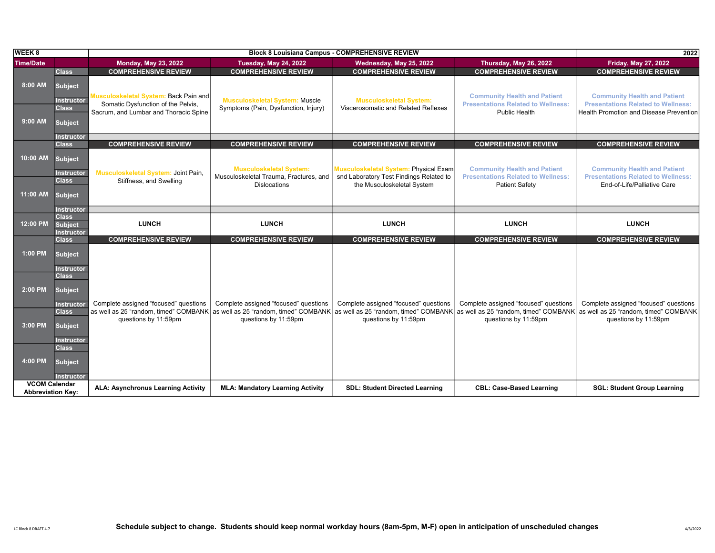| <b>WEEK 8</b>                                    |                                                                          |                                                                                                                      | 2022                                                                          |                                                                       |                                                                                                                                           |                                                                                                                                    |
|--------------------------------------------------|--------------------------------------------------------------------------|----------------------------------------------------------------------------------------------------------------------|-------------------------------------------------------------------------------|-----------------------------------------------------------------------|-------------------------------------------------------------------------------------------------------------------------------------------|------------------------------------------------------------------------------------------------------------------------------------|
| <b>Time/Date</b>                                 |                                                                          | <b>Monday, May 23, 2022</b>                                                                                          | <b>Tuesday, May 24, 2022</b>                                                  | Wednesday, May 25, 2022                                               | Thursday, May 26, 2022                                                                                                                    | <b>Friday, May 27, 2022</b>                                                                                                        |
|                                                  | <b>Class</b>                                                             | <b>COMPREHENSIVE REVIEW</b>                                                                                          | <b>COMPREHENSIVE REVIEW</b>                                                   | <b>COMPREHENSIVE REVIEW</b>                                           | <b>COMPREHENSIVE REVIEW</b>                                                                                                               | <b>COMPREHENSIVE REVIEW</b>                                                                                                        |
| 8:00 AM                                          | <b>Subject</b><br><b>Instructor</b><br><b>Class</b>                      | Musculoskeletal System: Back Pain and<br>Somatic Dysfunction of the Pelvis,<br>Sacrum, and Lumbar and Thoracic Spine | <b>Musculoskeletal System: Muscle</b><br>Symptoms (Pain, Dysfunction, Injury) | <b>Musculoskeletal System:</b><br>Viscerosomatic and Related Reflexes | <b>Community Health and Patient</b><br><b>Presentations Related to Wellness:</b><br>Public Health                                         | <b>Community Health and Patient</b><br><b>Presentations Related to Wellness:</b><br><b>Health Promotion and Disease Prevention</b> |
| $9:00$ AM                                        | <b>Subject</b>                                                           |                                                                                                                      |                                                                               |                                                                       |                                                                                                                                           |                                                                                                                                    |
|                                                  | <b>Instructor</b>                                                        |                                                                                                                      |                                                                               |                                                                       |                                                                                                                                           |                                                                                                                                    |
|                                                  | <b>Class</b>                                                             | <b>COMPREHENSIVE REVIEW</b>                                                                                          | <b>COMPREHENSIVE REVIEW</b>                                                   | <b>COMPREHENSIVE REVIEW</b>                                           | <b>COMPREHENSIVE REVIEW</b>                                                                                                               | <b>COMPREHENSIVE REVIEW</b>                                                                                                        |
| 10:00 AM                                         | <b>Subject</b><br>Instructor                                             | Musculoskeletal System: Joint Pain,                                                                                  | <b>Musculoskeletal System:</b>                                                | <b>Musculoskeletal System: Physical Exam</b>                          | <b>Community Health and Patient</b>                                                                                                       | <b>Community Health and Patient</b>                                                                                                |
|                                                  | <b>Class</b>                                                             | Stiffness, and Swelling                                                                                              | Musculoskeletal Trauma, Fractures, and<br><b>Dislocations</b>                 | snd Laboratory Test Findings Related to<br>the Musculoskeletal System | <b>Presentations Related to Wellness:</b><br><b>Patient Safety</b>                                                                        | <b>Presentations Related to Wellness:</b><br>End-of-Life/Palliative Care                                                           |
| 11:00 AM                                         | <b>Subject</b>                                                           |                                                                                                                      |                                                                               |                                                                       |                                                                                                                                           |                                                                                                                                    |
|                                                  | <b>Instructor</b>                                                        |                                                                                                                      |                                                                               |                                                                       |                                                                                                                                           |                                                                                                                                    |
| 12:00 PM                                         | <b>Class</b><br><b>Subject</b><br><b>Instructor</b>                      | <b>LUNCH</b>                                                                                                         | <b>LUNCH</b>                                                                  | <b>LUNCH</b>                                                          | <b>LUNCH</b>                                                                                                                              | <b>LUNCH</b>                                                                                                                       |
|                                                  | <b>Class</b>                                                             | <b>COMPREHENSIVE REVIEW</b>                                                                                          | <b>COMPREHENSIVE REVIEW</b>                                                   | <b>COMPREHENSIVE REVIEW</b>                                           | <b>COMPREHENSIVE REVIEW</b>                                                                                                               | <b>COMPREHENSIVE REVIEW</b>                                                                                                        |
| 1:00 PM                                          | <b>Subject</b><br><b>Instructor</b>                                      |                                                                                                                      |                                                                               |                                                                       |                                                                                                                                           |                                                                                                                                    |
| 2:00 PM                                          | <b>Class</b><br><b>Subject</b>                                           | Complete assigned "focused" questions                                                                                | Complete assigned "focused" questions                                         | Complete assigned "focused" questions                                 | Complete assigned "focused" questions                                                                                                     | Complete assigned "focused" questions                                                                                              |
| 3:00 PM                                          | <b>Instructor</b><br><b>Class</b><br><b>Subject</b>                      | as well as 25 "random, timed" COMBANK<br>questions by 11:59pm                                                        | questions by 11:59pm                                                          | questions by 11:59pm                                                  | as well as 25 "random, timed" COMBANK as well as 25 "random, timed" COMBANK as well as 25 "random, timed" COMBANK<br>questions by 11:59pm | as well as 25 "random, timed" COMBANK<br>questions by 11:59pm                                                                      |
| 4:00 PM                                          | <b>Instructor</b><br><b>Class</b><br><b>Subject</b><br><b>Instructor</b> |                                                                                                                      |                                                                               |                                                                       |                                                                                                                                           |                                                                                                                                    |
| <b>VCOM Calendar</b><br><b>Abbreviation Kev:</b> |                                                                          | <b>ALA: Asynchronus Learning Activity</b>                                                                            | <b>MLA: Mandatory Learning Activity</b>                                       | <b>SDL: Student Directed Learning</b>                                 | <b>CBL: Case-Based Learning</b>                                                                                                           | <b>SGL: Student Group Learning</b>                                                                                                 |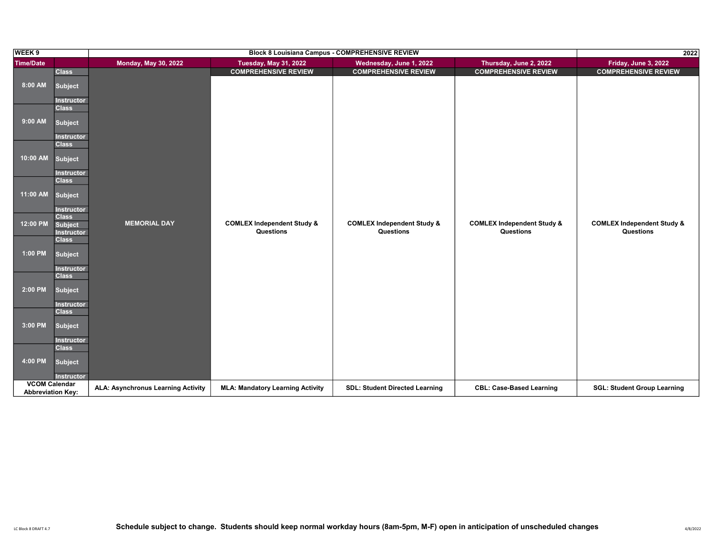| WEEK 9                   |                                   |                                    | 2022                                               |                                                    |                                                    |                                                    |
|--------------------------|-----------------------------------|------------------------------------|----------------------------------------------------|----------------------------------------------------|----------------------------------------------------|----------------------------------------------------|
| Time/Date                |                                   | <b>Monday, May 30, 2022</b>        | <b>Tuesday, May 31, 2022</b>                       | Wednesday, June 1, 2022                            | Thursday, June 2, 2022                             | Friday, June 3, 2022                               |
|                          | <b>Class</b>                      |                                    | <b>COMPREHENSIVE REVIEW</b>                        | <b>COMPREHENSIVE REVIEW</b>                        | <b>COMPREHENSIVE REVIEW</b>                        | <b>COMPREHENSIVE REVIEW</b>                        |
| 8:00 AM                  | <b>Subject</b>                    |                                    |                                                    |                                                    |                                                    |                                                    |
|                          | <b>Instructor</b>                 |                                    |                                                    |                                                    |                                                    |                                                    |
|                          | <b>Class</b>                      |                                    |                                                    |                                                    |                                                    |                                                    |
| 9:00 AM                  | <b>Subject</b>                    |                                    |                                                    |                                                    |                                                    |                                                    |
|                          | <b>Instructor</b>                 |                                    |                                                    |                                                    |                                                    |                                                    |
|                          | <b>Class</b>                      |                                    |                                                    |                                                    |                                                    |                                                    |
| 10:00 AM                 | <b>Subject</b>                    |                                    |                                                    |                                                    |                                                    |                                                    |
|                          | <b>Instructor</b>                 |                                    |                                                    |                                                    |                                                    |                                                    |
|                          | <b>Class</b>                      |                                    |                                                    |                                                    |                                                    |                                                    |
| 11:00 AM                 | <b>Subject</b>                    |                                    |                                                    |                                                    |                                                    |                                                    |
|                          | <b>Instructor</b>                 |                                    |                                                    |                                                    |                                                    |                                                    |
|                          | <b>Class</b>                      |                                    |                                                    |                                                    |                                                    |                                                    |
| 12:00 PM                 | <b>Subject</b>                    | <b>MEMORIAL DAY</b>                | <b>COMLEX Independent Study &amp;</b><br>Questions | <b>COMLEX Independent Study &amp;</b><br>Questions | <b>COMLEX Independent Study &amp;</b><br>Questions | <b>COMLEX Independent Study &amp;</b><br>Questions |
|                          | <b>Instructor</b><br><b>Class</b> |                                    |                                                    |                                                    |                                                    |                                                    |
|                          |                                   |                                    |                                                    |                                                    |                                                    |                                                    |
| 1:00 PM                  | <b>Subject</b>                    |                                    |                                                    |                                                    |                                                    |                                                    |
|                          | <b>Instructor</b>                 |                                    |                                                    |                                                    |                                                    |                                                    |
|                          | <b>Class</b>                      |                                    |                                                    |                                                    |                                                    |                                                    |
|                          |                                   |                                    |                                                    |                                                    |                                                    |                                                    |
| 2:00 PM                  | <b>Subject</b>                    |                                    |                                                    |                                                    |                                                    |                                                    |
|                          | <b>Instructor</b>                 |                                    |                                                    |                                                    |                                                    |                                                    |
|                          | <b>Class</b>                      |                                    |                                                    |                                                    |                                                    |                                                    |
| 3:00 PM                  | <b>Subject</b>                    |                                    |                                                    |                                                    |                                                    |                                                    |
|                          | <b>Instructor</b>                 |                                    |                                                    |                                                    |                                                    |                                                    |
|                          | <b>Class</b>                      |                                    |                                                    |                                                    |                                                    |                                                    |
|                          |                                   |                                    |                                                    |                                                    |                                                    |                                                    |
| 4:00 PM                  | <b>Subject</b>                    |                                    |                                                    |                                                    |                                                    |                                                    |
|                          | <b>Instructor</b>                 |                                    |                                                    |                                                    |                                                    |                                                    |
| <b>VCOM Calendar</b>     |                                   |                                    |                                                    |                                                    |                                                    |                                                    |
| <b>Abbreviation Key:</b> |                                   | ALA: Asynchronus Learning Activity | <b>MLA: Mandatory Learning Activity</b>            | <b>SDL: Student Directed Learning</b>              | <b>CBL: Case-Based Learning</b>                    | <b>SGL: Student Group Learning</b>                 |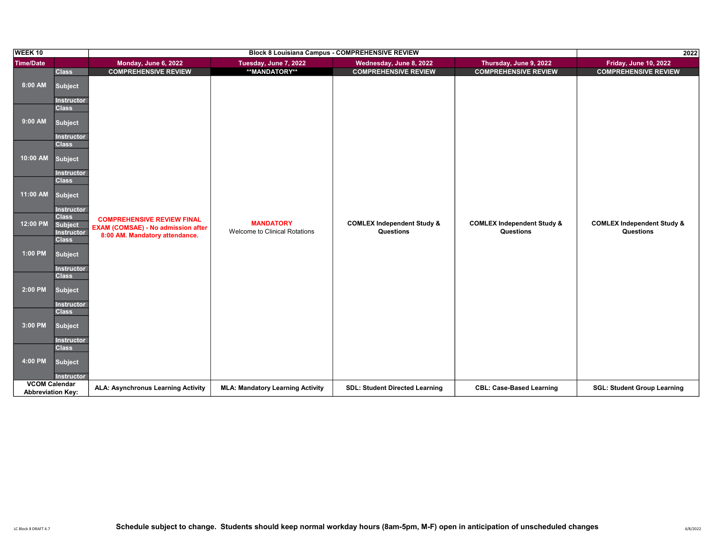| WEEK <sub>10</sub>       |                                   |                                           | 2022                                    |                                       |                                       |                                       |
|--------------------------|-----------------------------------|-------------------------------------------|-----------------------------------------|---------------------------------------|---------------------------------------|---------------------------------------|
| <b>Time/Date</b>         |                                   | Monday, June 6, 2022                      | Tuesday, June 7, 2022                   | Wednesday, June 8, 2022               | Thursday, June 9, 2022                | <b>Friday, June 10, 2022</b>          |
|                          | <b>Class</b>                      | <b>COMPREHENSIVE REVIEW</b>               | **MANDATORY**                           | <b>COMPREHENSIVE REVIEW</b>           | <b>COMPREHENSIVE REVIEW</b>           | <b>COMPREHENSIVE REVIEW</b>           |
| 8:00 AM                  | <b>Subject</b>                    |                                           |                                         |                                       |                                       |                                       |
|                          |                                   |                                           |                                         |                                       |                                       |                                       |
|                          | <b>Instructor</b><br><b>Class</b> |                                           |                                         |                                       |                                       |                                       |
|                          |                                   |                                           |                                         |                                       |                                       |                                       |
| 9:00 AM                  | <b>Subject</b>                    |                                           |                                         |                                       |                                       |                                       |
|                          | <b>Instructor</b>                 |                                           |                                         |                                       |                                       |                                       |
|                          | <b>Class</b>                      |                                           |                                         |                                       |                                       |                                       |
| 10:00 AM                 | <b>Subject</b>                    |                                           |                                         |                                       |                                       |                                       |
|                          |                                   |                                           |                                         |                                       |                                       |                                       |
|                          | <b>Instructor</b>                 |                                           |                                         |                                       |                                       |                                       |
|                          | <b>Class</b>                      |                                           |                                         |                                       |                                       |                                       |
| 11:00 AM                 | <b>Subject</b>                    |                                           |                                         |                                       |                                       |                                       |
|                          | <b>Instructor</b>                 |                                           |                                         |                                       |                                       |                                       |
|                          | <b>Class</b>                      | <b>COMPREHENSIVE REVIEW FINAL</b>         |                                         |                                       |                                       |                                       |
| 12:00 PM                 | <b>Subject</b>                    | <b>EXAM (COMSAE) - No admission after</b> | <b>MANDATORY</b>                        | <b>COMLEX Independent Study &amp;</b> | <b>COMLEX Independent Study &amp;</b> | <b>COMLEX Independent Study &amp;</b> |
|                          | <b>Instructor</b><br><b>Class</b> | 8:00 AM. Mandatory attendance.            | Welcome to Clinical Rotations           | Questions                             | Questions                             | Questions                             |
|                          |                                   |                                           |                                         |                                       |                                       |                                       |
| 1:00 PM                  | <b>Subject</b>                    |                                           |                                         |                                       |                                       |                                       |
|                          | <b>Instructor</b>                 |                                           |                                         |                                       |                                       |                                       |
|                          | <b>Class</b>                      |                                           |                                         |                                       |                                       |                                       |
| 2:00 PM                  | <b>Subject</b>                    |                                           |                                         |                                       |                                       |                                       |
|                          |                                   |                                           |                                         |                                       |                                       |                                       |
|                          | <b>Instructor</b><br><b>Class</b> |                                           |                                         |                                       |                                       |                                       |
|                          |                                   |                                           |                                         |                                       |                                       |                                       |
| 3:00 PM                  | <b>Subject</b>                    |                                           |                                         |                                       |                                       |                                       |
|                          | <b>Instructor</b>                 |                                           |                                         |                                       |                                       |                                       |
|                          | <b>Class</b>                      |                                           |                                         |                                       |                                       |                                       |
| 4:00 PM                  | <b>Subject</b>                    |                                           |                                         |                                       |                                       |                                       |
|                          |                                   |                                           |                                         |                                       |                                       |                                       |
| <b>VCOM Calendar</b>     | <b>Instructor</b>                 |                                           |                                         |                                       |                                       |                                       |
| <b>Abbreviation Key:</b> |                                   | <b>ALA: Asynchronus Learning Activity</b> | <b>MLA: Mandatory Learning Activity</b> | <b>SDL: Student Directed Learning</b> | <b>CBL: Case-Based Learning</b>       | <b>SGL: Student Group Learning</b>    |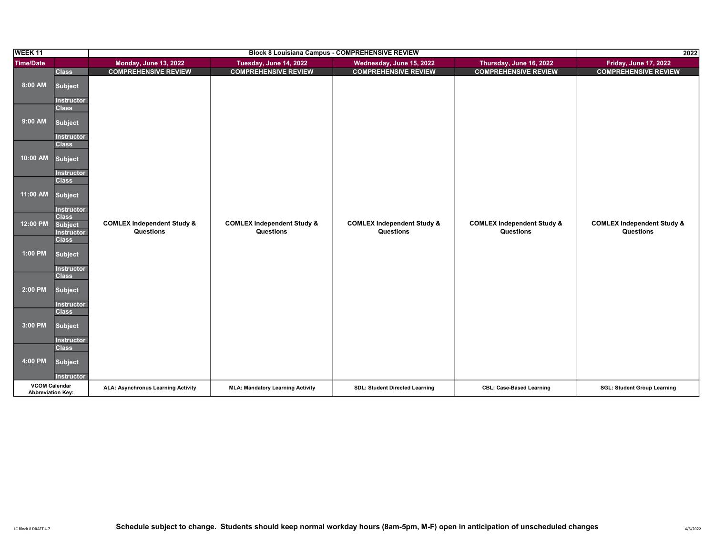| <b>WEEK11</b>                                    |                                   |                                           | 2022                                    |                                       |                                       |                                       |
|--------------------------------------------------|-----------------------------------|-------------------------------------------|-----------------------------------------|---------------------------------------|---------------------------------------|---------------------------------------|
| <b>Time/Date</b>                                 |                                   | <b>Monday, June 13, 2022</b>              | Tuesday, June 14, 2022                  | Wednesday, June 15, 2022              | Thursday, June 16, 2022               | <b>Friday, June 17, 2022</b>          |
|                                                  | <b>Class</b>                      | <b>COMPREHENSIVE REVIEW</b>               | <b>COMPREHENSIVE REVIEW</b>             | <b>COMPREHENSIVE REVIEW</b>           | <b>COMPREHENSIVE REVIEW</b>           | <b>COMPREHENSIVE REVIEW</b>           |
| 8:00 AM                                          | <b>Subject</b>                    |                                           |                                         |                                       |                                       |                                       |
|                                                  | <b>Instructor</b><br><b>Class</b> |                                           |                                         |                                       |                                       |                                       |
| 9:00 AM                                          | <b>Subject</b>                    |                                           |                                         |                                       |                                       |                                       |
|                                                  | <b>Instructor</b>                 |                                           |                                         |                                       |                                       |                                       |
|                                                  | <b>Class</b>                      |                                           |                                         |                                       |                                       |                                       |
| 10:00 AM                                         | <b>Subject</b>                    |                                           |                                         |                                       |                                       |                                       |
|                                                  | <b>Instructor</b><br><b>Class</b> |                                           |                                         |                                       |                                       |                                       |
| 11:00 AM                                         |                                   |                                           |                                         |                                       |                                       |                                       |
|                                                  | <b>Subject</b>                    |                                           |                                         |                                       |                                       |                                       |
|                                                  | <b>Instructor</b><br><b>Class</b> |                                           |                                         |                                       |                                       |                                       |
| 12:00 PM                                         | <b>Subject</b>                    | <b>COMLEX Independent Study &amp;</b>     | <b>COMLEX Independent Study &amp;</b>   | <b>COMLEX Independent Study &amp;</b> | <b>COMLEX Independent Study &amp;</b> | <b>COMLEX Independent Study &amp;</b> |
|                                                  | <b>Instructor</b><br><b>Class</b> | Questions                                 | Questions                               | Questions                             | Questions                             | Questions                             |
| 1:00 PM                                          |                                   |                                           |                                         |                                       |                                       |                                       |
|                                                  | <b>Subject</b>                    |                                           |                                         |                                       |                                       |                                       |
|                                                  | <b>Instructor</b><br><b>Class</b> |                                           |                                         |                                       |                                       |                                       |
| 2:00 PM                                          |                                   |                                           |                                         |                                       |                                       |                                       |
|                                                  | <b>Subject</b>                    |                                           |                                         |                                       |                                       |                                       |
|                                                  | <b>Instructor</b><br><b>Class</b> |                                           |                                         |                                       |                                       |                                       |
| 3:00 PM                                          | <b>Subject</b>                    |                                           |                                         |                                       |                                       |                                       |
|                                                  |                                   |                                           |                                         |                                       |                                       |                                       |
|                                                  | <b>Instructor</b><br><b>Class</b> |                                           |                                         |                                       |                                       |                                       |
| 4:00 PM                                          | <b>Subject</b>                    |                                           |                                         |                                       |                                       |                                       |
|                                                  |                                   |                                           |                                         |                                       |                                       |                                       |
|                                                  | <b>Instructor</b>                 |                                           |                                         |                                       |                                       |                                       |
| <b>VCOM Calendar</b><br><b>Abbreviation Key:</b> |                                   | <b>ALA: Asynchronus Learning Activity</b> | <b>MLA: Mandatory Learning Activity</b> | <b>SDL: Student Directed Learning</b> | <b>CBL: Case-Based Learning</b>       | <b>SGL: Student Group Learning</b>    |